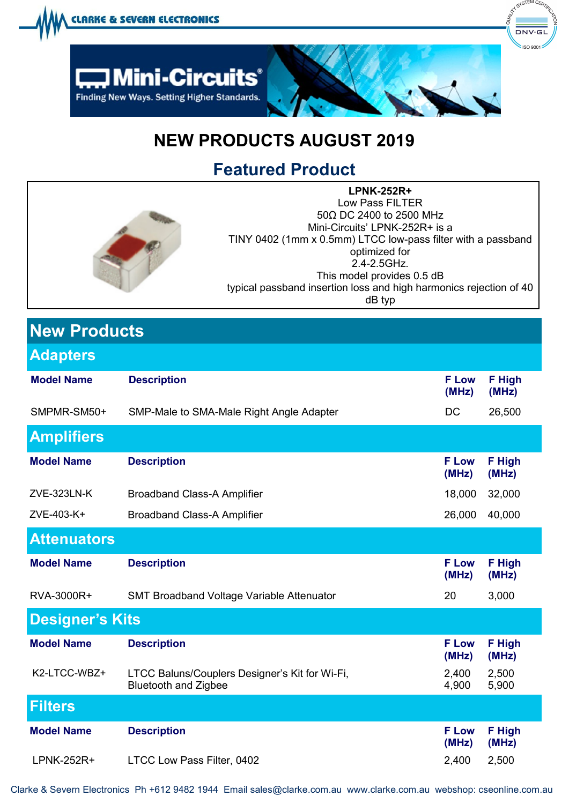

## **NEW PRODUCTS AUGUST 2019**

**Featured Product** 

| <b>LPNK-252R+</b>                                                  |
|--------------------------------------------------------------------|
| Low Pass FILTER                                                    |
| 50Ω DC 2400 to 2500 MHz                                            |
| Mini-Circuits' LPNK-252R+ is a                                     |
| TINY 0402 (1mm x 0.5mm) LTCC low-pass filter with a passband       |
| optimized for                                                      |
| 2.4-2.5GHz.                                                        |
| This model provides 0.5 dB                                         |
| typical passband insertion loss and high harmonics rejection of 40 |
| dB typ                                                             |
|                                                                    |

| <b>New Products</b>    |                                                                               |                       |                        |  |  |
|------------------------|-------------------------------------------------------------------------------|-----------------------|------------------------|--|--|
| <b>Adapters</b>        |                                                                               |                       |                        |  |  |
| <b>Model Name</b>      | <b>Description</b>                                                            | <b>F</b> Low<br>(MHz) | <b>F</b> High<br>(MHz) |  |  |
| SMPMR-SM50+            | SMP-Male to SMA-Male Right Angle Adapter                                      | DC                    | 26,500                 |  |  |
| <b>Amplifiers</b>      |                                                                               |                       |                        |  |  |
| <b>Model Name</b>      | <b>Description</b>                                                            | <b>F</b> Low<br>(MHz) | <b>F</b> High<br>(MHz) |  |  |
| ZVE-323LN-K            | <b>Broadband Class-A Amplifier</b>                                            | 18,000                | 32,000                 |  |  |
| ZVE-403-K+             | <b>Broadband Class-A Amplifier</b>                                            | 26,000                | 40,000                 |  |  |
| <b>Attenuators</b>     |                                                                               |                       |                        |  |  |
| <b>Model Name</b>      | <b>Description</b>                                                            | <b>F Low</b><br>(MHz) | F High<br>(MHz)        |  |  |
| RVA-3000R+             | SMT Broadband Voltage Variable Attenuator                                     | 20                    | 3,000                  |  |  |
| <b>Designer's Kits</b> |                                                                               |                       |                        |  |  |
| <b>Model Name</b>      | <b>Description</b>                                                            | <b>F</b> Low<br>(MHz) | F High<br>(MHz)        |  |  |
| K2-LTCC-WBZ+           | LTCC Baluns/Couplers Designer's Kit for Wi-Fi,<br><b>Bluetooth and Zigbee</b> | 2,400<br>4,900        | 2,500<br>5,900         |  |  |
| <b>Filters</b>         |                                                                               |                       |                        |  |  |
| <b>Model Name</b>      | <b>Description</b>                                                            | <b>F</b> Low<br>(MHz) | F High<br>(MHz)        |  |  |
| I PNK-252R+            | LTCC Low Pass Filter, 0402                                                    | 2400                  | 2500                   |  |  |

Clarke & Severn Electronics Ph +612 9482 1944 Email sales@clarke.com.au www.clarke.com.au [webshop: cseonline.com.au](https://www.cseonline.com.au/home.php)